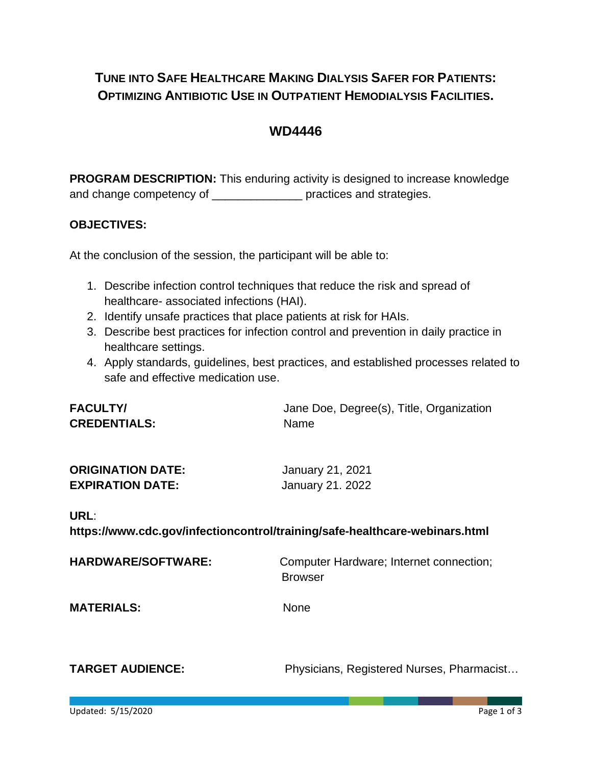## **TUNE INTO SAFE HEALTHCARE MAKING DIALYSIS SAFER FOR PATIENTS: OPTIMIZING ANTIBIOTIC USE IN OUTPATIENT HEMODIALYSIS FACILITIES.**

## **WD4446**

**PROGRAM DESCRIPTION:** This enduring activity is designed to increase knowledge and change competency of \_\_\_\_\_\_\_\_\_\_\_\_\_\_\_\_\_\_\_\_\_\_ practices and strategies.

#### **OBJECTIVES:**

At the conclusion of the session, the participant will be able to:

- 1. Describe infection control techniques that reduce the risk and spread of healthcare- associated infections (HAI).
- 2. Identify unsafe practices that place patients at risk for HAIs.
- 3. Describe best practices for infection control and prevention in daily practice in healthcare settings.
- 4. Apply standards, guidelines, best practices, and established processes related to safe and effective medication use.

| <b>FACULTY/</b>     | Jane Doe, Degree(s), Title, Organization |
|---------------------|------------------------------------------|
| <b>CREDENTIALS:</b> | <b>Name</b>                              |

| <b>ORIGINATION DATE:</b> | January 21, 2021 |
|--------------------------|------------------|
| <b>EXPIRATION DATE:</b>  | January 21. 2022 |

#### **URL**:

**https://www.cdc.gov/infectioncontrol/training/safe-healthcare-webinars.html**

**HARDWARE/SOFTWARE:** Computer Hardware; Internet connection; Browser

**MATERIALS:** None

**TARGET AUDIENCE:** Physicians, Registered Nurses, Pharmacist…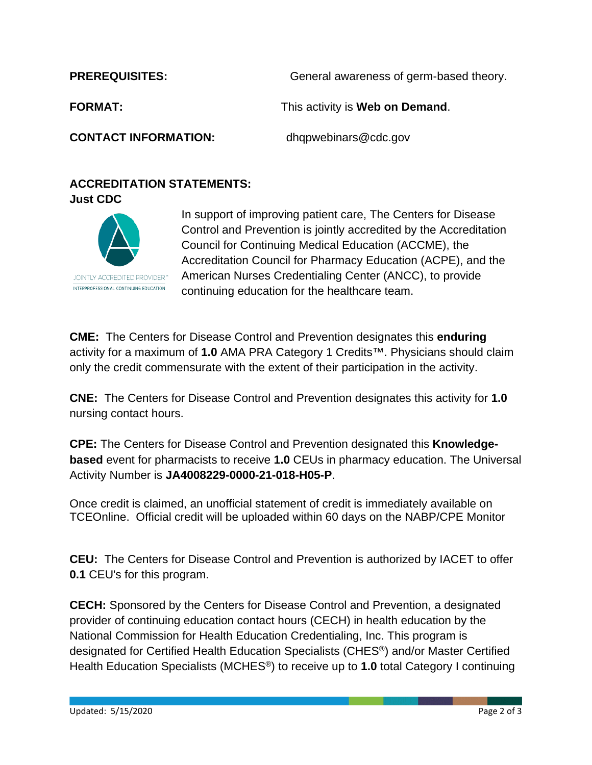**PREREQUISITES:** General awareness of germ-based theory. **FORMAT:** This activity is **Web on Demand**. **CONTACT INFORMATION:** dhqpwebinars@cdc.gov

## **ACCREDITATION STATEMENTS: Just CDC**



In support of improving patient care, The Centers for Disease Control and Prevention is jointly accredited by the Accreditation Council for Continuing Medical Education (ACCME), the Accreditation Council for Pharmacy Education (ACPE), and the American Nurses Credentialing Center (ANCC), to provide continuing education for the healthcare team.

**CME:** The Centers for Disease Control and Prevention designates this **enduring** activity for a maximum of **1.0** AMA PRA Category 1 Credits™. Physicians should claim only the credit commensurate with the extent of their participation in the activity.

**CNE:** The Centers for Disease Control and Prevention designates this activity for **1.0** nursing contact hours.

**CPE:** The Centers for Disease Control and Prevention designated this **Knowledgebased** event for pharmacists to receive **1.0** CEUs in pharmacy education. The Universal Activity Number is **JA4008229-0000-21-018-H05-P**.

Once credit is claimed, an unofficial statement of credit is immediately available on TCEOnline. Official credit will be uploaded within 60 days on the NABP/CPE Monitor

**CEU:** The Centers for Disease Control and Prevention is authorized by IACET to offer **0.1** CEU's for this program.

**CECH:** Sponsored by the Centers for Disease Control and Prevention, a designated provider of continuing education contact hours (CECH) in health education by the National Commission for Health Education Credentialing, Inc. This program is designated for Certified Health Education Specialists (CHES®) and/or Master Certified Health Education Specialists (MCHES®) to receive up to **1.0** total Category I continuing